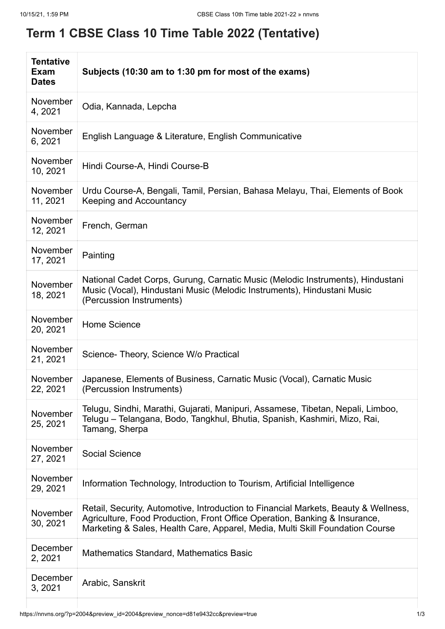## **Term 1 CBSE Class 10 Time Table 2022 (Tentative)**

| <b>Tentative</b><br>Exam<br><b>Dates</b> | Subjects (10:30 am to 1:30 pm for most of the exams)                                                                                                                                                                                               |
|------------------------------------------|----------------------------------------------------------------------------------------------------------------------------------------------------------------------------------------------------------------------------------------------------|
| November<br>4, 2021                      | Odia, Kannada, Lepcha                                                                                                                                                                                                                              |
| November<br>6, 2021                      | English Language & Literature, English Communicative                                                                                                                                                                                               |
| November<br>10, 2021                     | Hindi Course-A, Hindi Course-B                                                                                                                                                                                                                     |
| November<br>11, 2021                     | Urdu Course-A, Bengali, Tamil, Persian, Bahasa Melayu, Thai, Elements of Book<br>Keeping and Accountancy                                                                                                                                           |
| November<br>12, 2021                     | French, German                                                                                                                                                                                                                                     |
| November<br>17, 2021                     | Painting                                                                                                                                                                                                                                           |
| November<br>18, 2021                     | National Cadet Corps, Gurung, Carnatic Music (Melodic Instruments), Hindustani<br>Music (Vocal), Hindustani Music (Melodic Instruments), Hindustani Music<br>(Percussion Instruments)                                                              |
| <b>November</b><br>20, 2021              | Home Science                                                                                                                                                                                                                                       |
| <b>November</b><br>21, 2021              | Science- Theory, Science W/o Practical                                                                                                                                                                                                             |
| November<br>22, 2021                     | Japanese, Elements of Business, Carnatic Music (Vocal), Carnatic Music<br>(Percussion Instruments)                                                                                                                                                 |
| November<br>25, 2021                     | Telugu, Sindhi, Marathi, Gujarati, Manipuri, Assamese, Tibetan, Nepali, Limboo,<br>Telugu – Telangana, Bodo, Tangkhul, Bhutia, Spanish, Kashmiri, Mizo, Rai,<br>Tamang, Sherpa                                                                     |
| November<br>27, 2021                     | <b>Social Science</b>                                                                                                                                                                                                                              |
| November<br>29, 2021                     | Information Technology, Introduction to Tourism, Artificial Intelligence                                                                                                                                                                           |
| November<br>30, 2021                     | Retail, Security, Automotive, Introduction to Financial Markets, Beauty & Wellness,<br>Agriculture, Food Production, Front Office Operation, Banking & Insurance,<br>Marketing & Sales, Health Care, Apparel, Media, Multi Skill Foundation Course |
| December<br>2, 2021                      | <b>Mathematics Standard, Mathematics Basic</b>                                                                                                                                                                                                     |
| December<br>3, 2021                      | Arabic, Sanskrit                                                                                                                                                                                                                                   |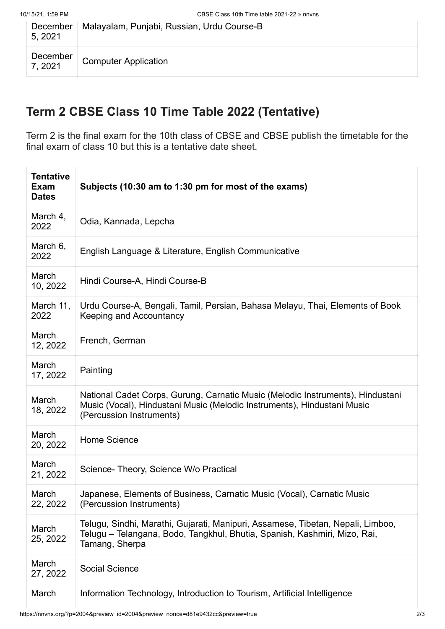| December<br>5, 2021 | Malayalam, Punjabi, Russian, Urdu Course-B |
|---------------------|--------------------------------------------|
| December<br>7, 2021 | <b>Computer Application</b>                |

## **Term 2 CBSE Class 10 Time Table 2022 (Tentative)**

Term 2 is the final exam for the 10th class of CBSE and CBSE publish the timetable for the final exam of class 10 but this is a tentative date sheet.

| <b>Tentative</b><br>Exam<br><b>Dates</b> | Subjects (10:30 am to 1:30 pm for most of the exams)                                                                                                                                  |
|------------------------------------------|---------------------------------------------------------------------------------------------------------------------------------------------------------------------------------------|
| March 4,<br>2022                         | Odia, Kannada, Lepcha                                                                                                                                                                 |
| March 6,<br>2022                         | English Language & Literature, English Communicative                                                                                                                                  |
| March<br>10, 2022                        | Hindi Course-A, Hindi Course-B                                                                                                                                                        |
| March 11,<br>2022                        | Urdu Course-A, Bengali, Tamil, Persian, Bahasa Melayu, Thai, Elements of Book<br><b>Keeping and Accountancy</b>                                                                       |
| March<br>12, 2022                        | French, German                                                                                                                                                                        |
| March<br>17, 2022                        | Painting                                                                                                                                                                              |
| March<br>18, 2022                        | National Cadet Corps, Gurung, Carnatic Music (Melodic Instruments), Hindustani<br>Music (Vocal), Hindustani Music (Melodic Instruments), Hindustani Music<br>(Percussion Instruments) |
| March<br>20, 2022                        | <b>Home Science</b>                                                                                                                                                                   |
| March<br>21, 2022                        | Science- Theory, Science W/o Practical                                                                                                                                                |
| March<br>22, 2022                        | Japanese, Elements of Business, Carnatic Music (Vocal), Carnatic Music<br>(Percussion Instruments)                                                                                    |
| March<br>25, 2022                        | Telugu, Sindhi, Marathi, Gujarati, Manipuri, Assamese, Tibetan, Nepali, Limboo,<br>Telugu – Telangana, Bodo, Tangkhul, Bhutia, Spanish, Kashmiri, Mizo, Rai,<br>Tamang, Sherpa        |
| March<br>27, 2022                        | <b>Social Science</b>                                                                                                                                                                 |
| March                                    | Information Technology, Introduction to Tourism, Artificial Intelligence                                                                                                              |